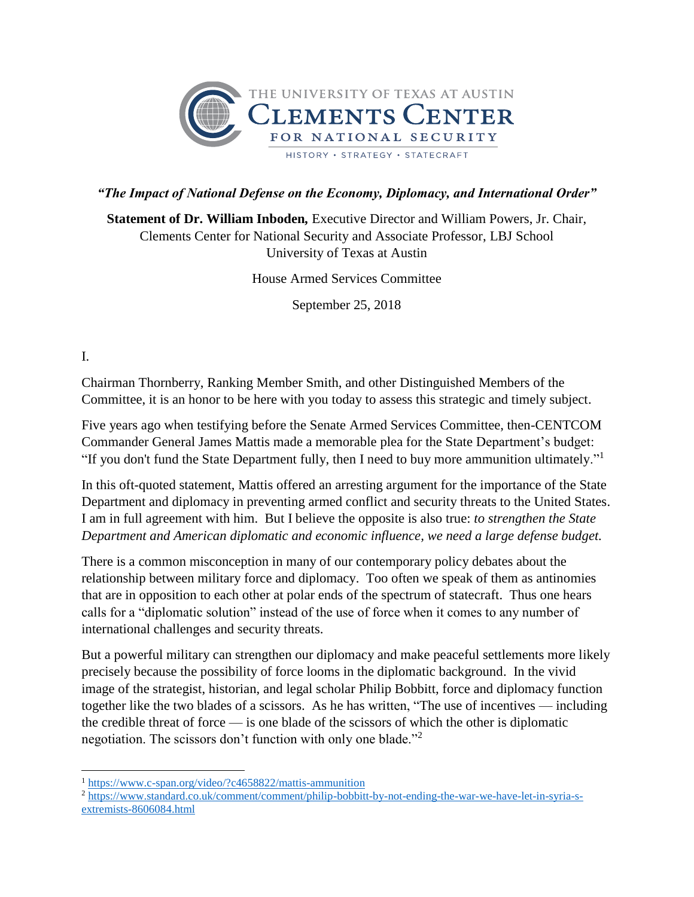

## *"The Impact of National Defense on the Economy, Diplomacy, and International Order"*

**Statement of Dr. William Inboden***,* Executive Director and William Powers, Jr. Chair, Clements Center for National Security and Associate Professor, LBJ School University of Texas at Austin

House Armed Services Committee

September 25, 2018

I.

Chairman Thornberry, Ranking Member Smith, and other Distinguished Members of the Committee, it is an honor to be here with you today to assess this strategic and timely subject.

Five years ago when testifying before the Senate Armed Services Committee, then-CENTCOM Commander General James Mattis made a memorable plea for the State Department's budget: "If you don't fund the State Department fully, then I need to buy more ammunition ultimately."<sup>1</sup>

In this oft-quoted statement, Mattis offered an arresting argument for the importance of the State Department and diplomacy in preventing armed conflict and security threats to the United States. I am in full agreement with him. But I believe the opposite is also true: *to strengthen the State Department and American diplomatic and economic influence, we need a large defense budget.*

There is a common misconception in many of our contemporary policy debates about the relationship between military force and diplomacy. Too often we speak of them as antinomies that are in opposition to each other at polar ends of the spectrum of statecraft. Thus one hears calls for a "diplomatic solution" instead of the use of force when it comes to any number of international challenges and security threats.

But a powerful military can strengthen our diplomacy and make peaceful settlements more likely precisely because the possibility of force looms in the diplomatic background. In the vivid image of the strategist, historian, and legal scholar Philip Bobbitt, force and diplomacy function together like the two blades of a scissors. As he has written, "The use of incentives — including the credible threat of force — is one blade of the scissors of which the other is diplomatic negotiation. The scissors don't function with only one blade."<sup>2</sup>

 $\overline{\phantom{a}}$ <sup>1</sup> <https://www.c-span.org/video/?c4658822/mattis-ammunition>

<sup>2</sup> [https://www.standard.co.uk/comment/comment/philip-bobbitt-by-not-ending-the-war-we-have-let-in-syria-s](https://www.standard.co.uk/comment/comment/philip-bobbitt-by-not-ending-the-war-we-have-let-in-syria-s-extremists-8606084.html)[extremists-8606084.html](https://www.standard.co.uk/comment/comment/philip-bobbitt-by-not-ending-the-war-we-have-let-in-syria-s-extremists-8606084.html)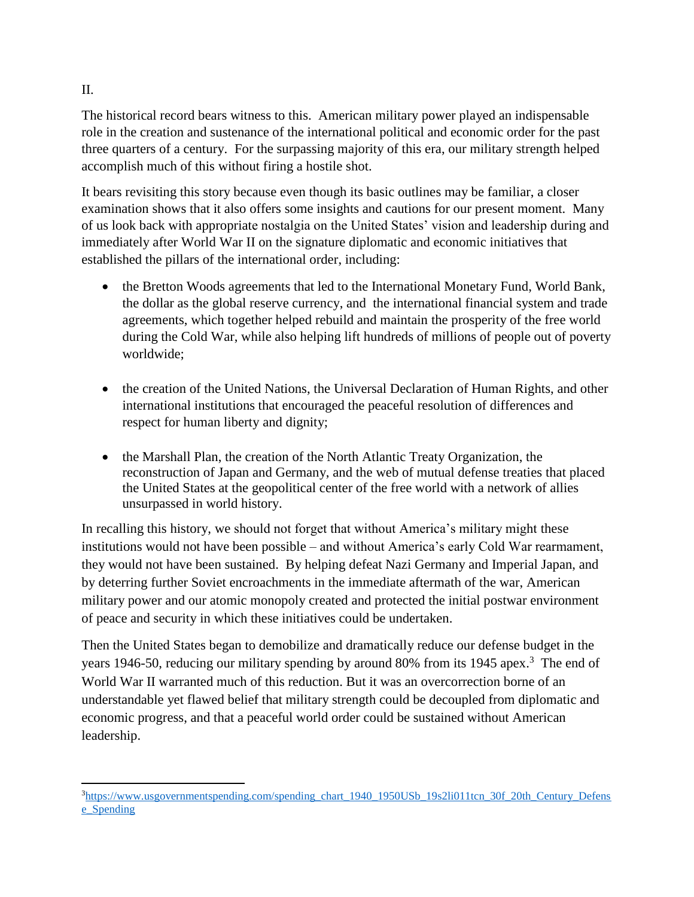The historical record bears witness to this. American military power played an indispensable role in the creation and sustenance of the international political and economic order for the past three quarters of a century.For the surpassing majority of this era, our military strength helped accomplish much of this without firing a hostile shot.

It bears revisiting this story because even though its basic outlines may be familiar, a closer examination shows that it also offers some insights and cautions for our present moment. Many of us look back with appropriate nostalgia on the United States' vision and leadership during and immediately after World War II on the signature diplomatic and economic initiatives that established the pillars of the international order, including:

- the Bretton Woods agreements that led to the International Monetary Fund, World Bank, the dollar as the global reserve currency, and the international financial system and trade agreements, which together helped rebuild and maintain the prosperity of the free world during the Cold War, while also helping lift hundreds of millions of people out of poverty worldwide;
- the creation of the United Nations, the Universal Declaration of Human Rights, and other international institutions that encouraged the peaceful resolution of differences and respect for human liberty and dignity;
- the Marshall Plan, the creation of the North Atlantic Treaty Organization, the reconstruction of Japan and Germany, and the web of mutual defense treaties that placed the United States at the geopolitical center of the free world with a network of allies unsurpassed in world history.

In recalling this history, we should not forget that without America's military might these institutions would not have been possible – and without America's early Cold War rearmament, they would not have been sustained. By helping defeat Nazi Germany and Imperial Japan, and by deterring further Soviet encroachments in the immediate aftermath of the war, American military power and our atomic monopoly created and protected the initial postwar environment of peace and security in which these initiatives could be undertaken.

Then the United States began to demobilize and dramatically reduce our defense budget in the years 1946-50, reducing our military spending by around 80% from its 1945 apex.<sup>3</sup> The end of World War II warranted much of this reduction. But it was an overcorrection borne of an understandable yet flawed belief that military strength could be decoupled from diplomatic and economic progress, and that a peaceful world order could be sustained without American leadership.

II.

 $\overline{a}$ 

<sup>&</sup>lt;sup>3</sup>[https://www.usgovernmentspending.com/spending\\_chart\\_1940\\_1950USb\\_19s2li011tcn\\_30f\\_20th\\_Century\\_Defens](https://www.usgovernmentspending.com/spending_chart_1940_1950USb_19s2li011tcn_30f_20th_Century_Defense_Spending) [e\\_Spending](https://www.usgovernmentspending.com/spending_chart_1940_1950USb_19s2li011tcn_30f_20th_Century_Defense_Spending)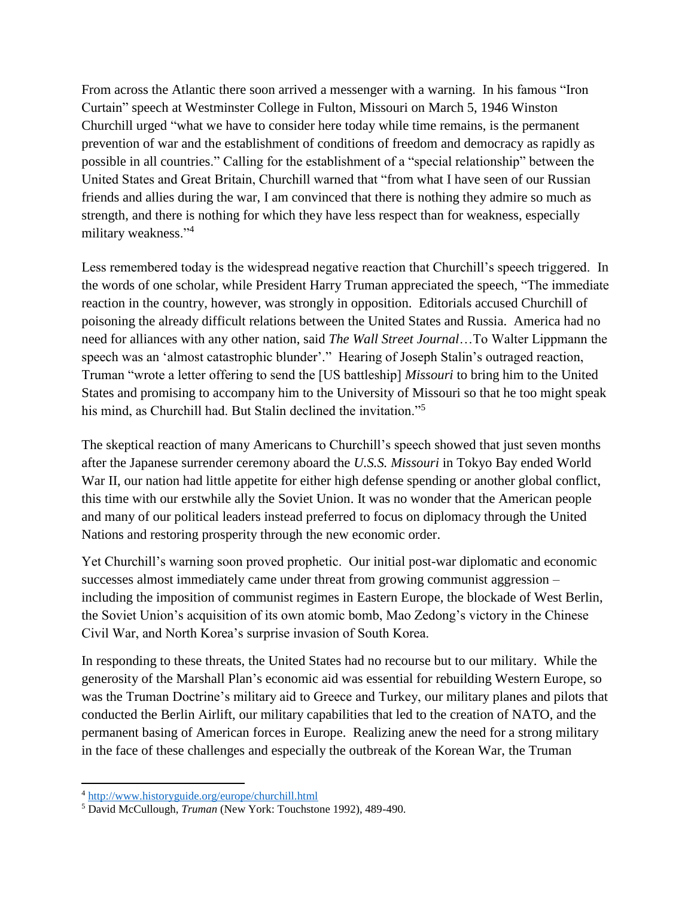From across the Atlantic there soon arrived a messenger with a warning. In his famous "Iron Curtain" speech at Westminster College in Fulton, Missouri on March 5, 1946 Winston Churchill urged "what we have to consider here today while time remains, is the permanent prevention of war and the establishment of conditions of freedom and democracy as rapidly as possible in all countries." Calling for the establishment of a "special relationship" between the United States and Great Britain, Churchill warned that "from what I have seen of our Russian friends and allies during the war, I am convinced that there is nothing they admire so much as strength, and there is nothing for which they have less respect than for weakness, especially military weakness."<sup>4</sup>

Less remembered today is the widespread negative reaction that Churchill's speech triggered. In the words of one scholar, while President Harry Truman appreciated the speech, "The immediate reaction in the country, however, was strongly in opposition. Editorials accused Churchill of poisoning the already difficult relations between the United States and Russia. America had no need for alliances with any other nation, said *The Wall Street Journal*…To Walter Lippmann the speech was an 'almost catastrophic blunder'." Hearing of Joseph Stalin's outraged reaction, Truman "wrote a letter offering to send the [US battleship] *Missouri* to bring him to the United States and promising to accompany him to the University of Missouri so that he too might speak his mind, as Churchill had. But Stalin declined the invitation."<sup>5</sup>

The skeptical reaction of many Americans to Churchill's speech showed that just seven months after the Japanese surrender ceremony aboard the *U.S.S. Missouri* in Tokyo Bay ended World War II, our nation had little appetite for either high defense spending or another global conflict, this time with our erstwhile ally the Soviet Union. It was no wonder that the American people and many of our political leaders instead preferred to focus on diplomacy through the United Nations and restoring prosperity through the new economic order.

Yet Churchill's warning soon proved prophetic. Our initial post-war diplomatic and economic successes almost immediately came under threat from growing communist aggression – including the imposition of communist regimes in Eastern Europe, the blockade of West Berlin, the Soviet Union's acquisition of its own atomic bomb, Mao Zedong's victory in the Chinese Civil War, and North Korea's surprise invasion of South Korea.

In responding to these threats, the United States had no recourse but to our military. While the generosity of the Marshall Plan's economic aid was essential for rebuilding Western Europe, so was the Truman Doctrine's military aid to Greece and Turkey, our military planes and pilots that conducted the Berlin Airlift, our military capabilities that led to the creation of NATO, and the permanent basing of American forces in Europe. Realizing anew the need for a strong military in the face of these challenges and especially the outbreak of the Korean War, the Truman

 $\overline{a}$ 

<sup>&</sup>lt;sup>4</sup> <http://www.historyguide.org/europe/churchill.html>

<sup>5</sup> David McCullough, *Truman* (New York: Touchstone 1992), 489-490.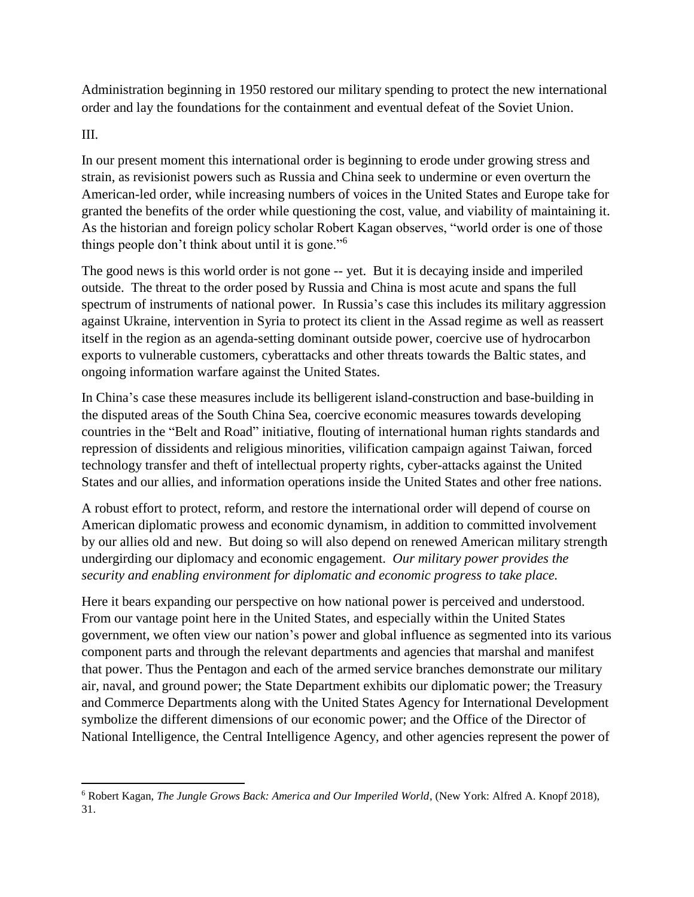Administration beginning in 1950 restored our military spending to protect the new international order and lay the foundations for the containment and eventual defeat of the Soviet Union.

## III.

 $\overline{a}$ 

In our present moment this international order is beginning to erode under growing stress and strain, as revisionist powers such as Russia and China seek to undermine or even overturn the American-led order, while increasing numbers of voices in the United States and Europe take for granted the benefits of the order while questioning the cost, value, and viability of maintaining it. As the historian and foreign policy scholar Robert Kagan observes, "world order is one of those things people don't think about until it is gone."<sup>6</sup>

The good news is this world order is not gone -- yet. But it is decaying inside and imperiled outside. The threat to the order posed by Russia and China is most acute and spans the full spectrum of instruments of national power. In Russia's case this includes its military aggression against Ukraine, intervention in Syria to protect its client in the Assad regime as well as reassert itself in the region as an agenda-setting dominant outside power, coercive use of hydrocarbon exports to vulnerable customers, cyberattacks and other threats towards the Baltic states, and ongoing information warfare against the United States.

In China's case these measures include its belligerent island-construction and base-building in the disputed areas of the South China Sea, coercive economic measures towards developing countries in the "Belt and Road" initiative, flouting of international human rights standards and repression of dissidents and religious minorities, vilification campaign against Taiwan, forced technology transfer and theft of intellectual property rights, cyber-attacks against the United States and our allies, and information operations inside the United States and other free nations.

A robust effort to protect, reform, and restore the international order will depend of course on American diplomatic prowess and economic dynamism, in addition to committed involvement by our allies old and new. But doing so will also depend on renewed American military strength undergirding our diplomacy and economic engagement. *Our military power provides the security and enabling environment for diplomatic and economic progress to take place.*

Here it bears expanding our perspective on how national power is perceived and understood. From our vantage point here in the United States, and especially within the United States government, we often view our nation's power and global influence as segmented into its various component parts and through the relevant departments and agencies that marshal and manifest that power. Thus the Pentagon and each of the armed service branches demonstrate our military air, naval, and ground power; the State Department exhibits our diplomatic power; the Treasury and Commerce Departments along with the United States Agency for International Development symbolize the different dimensions of our economic power; and the Office of the Director of National Intelligence, the Central Intelligence Agency, and other agencies represent the power of

<sup>6</sup> Robert Kagan, *The Jungle Grows Back: America and Our Imperiled World*, (New York: Alfred A. Knopf 2018), 31.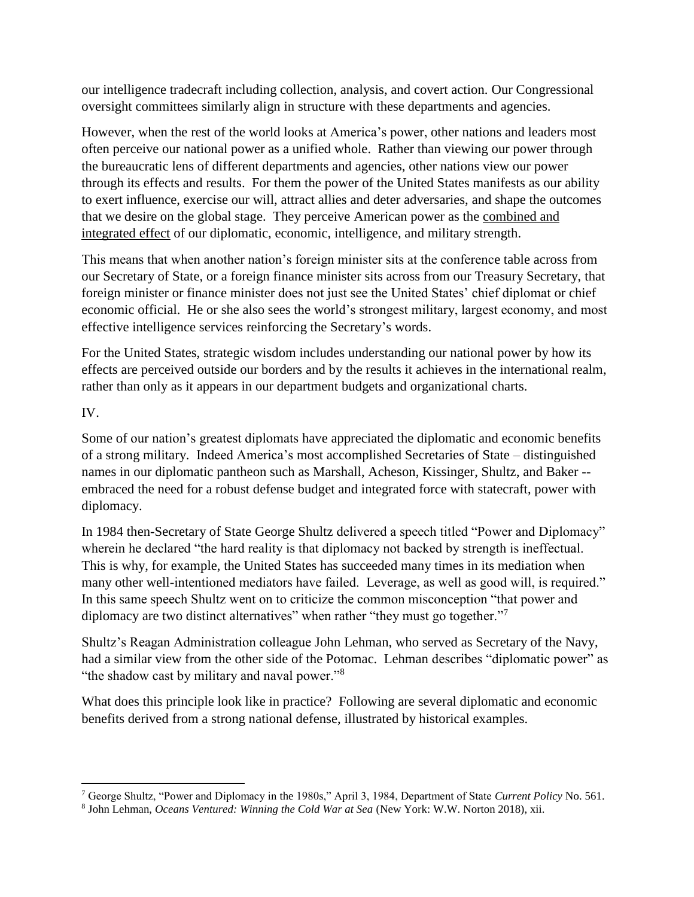our intelligence tradecraft including collection, analysis, and covert action. Our Congressional oversight committees similarly align in structure with these departments and agencies.

However, when the rest of the world looks at America's power, other nations and leaders most often perceive our national power as a unified whole. Rather than viewing our power through the bureaucratic lens of different departments and agencies, other nations view our power through its effects and results. For them the power of the United States manifests as our ability to exert influence, exercise our will, attract allies and deter adversaries, and shape the outcomes that we desire on the global stage. They perceive American power as the combined and integrated effect of our diplomatic, economic, intelligence, and military strength.

This means that when another nation's foreign minister sits at the conference table across from our Secretary of State, or a foreign finance minister sits across from our Treasury Secretary, that foreign minister or finance minister does not just see the United States' chief diplomat or chief economic official. He or she also sees the world's strongest military, largest economy, and most effective intelligence services reinforcing the Secretary's words.

For the United States, strategic wisdom includes understanding our national power by how its effects are perceived outside our borders and by the results it achieves in the international realm, rather than only as it appears in our department budgets and organizational charts.

IV.

 $\overline{a}$ 

Some of our nation's greatest diplomats have appreciated the diplomatic and economic benefits of a strong military. Indeed America's most accomplished Secretaries of State – distinguished names in our diplomatic pantheon such as Marshall, Acheson, Kissinger, Shultz, and Baker - embraced the need for a robust defense budget and integrated force with statecraft, power with diplomacy.

In 1984 then-Secretary of State George Shultz delivered a speech titled "Power and Diplomacy" wherein he declared "the hard reality is that diplomacy not backed by strength is ineffectual. This is why, for example, the United States has succeeded many times in its mediation when many other well-intentioned mediators have failed. Leverage, as well as good will, is required." In this same speech Shultz went on to criticize the common misconception "that power and diplomacy are two distinct alternatives" when rather "they must go together."<sup>7</sup>

Shultz's Reagan Administration colleague John Lehman, who served as Secretary of the Navy, had a similar view from the other side of the Potomac. Lehman describes "diplomatic power" as "the shadow cast by military and naval power."<sup>8</sup>

What does this principle look like in practice? Following are several diplomatic and economic benefits derived from a strong national defense, illustrated by historical examples.

<sup>7</sup> George Shultz, "Power and Diplomacy in the 1980s," April 3, 1984, Department of State *Current Policy* No. 561.

<sup>8</sup> John Lehman, *Oceans Ventured: Winning the Cold War at Sea* (New York: W.W. Norton 2018), xii.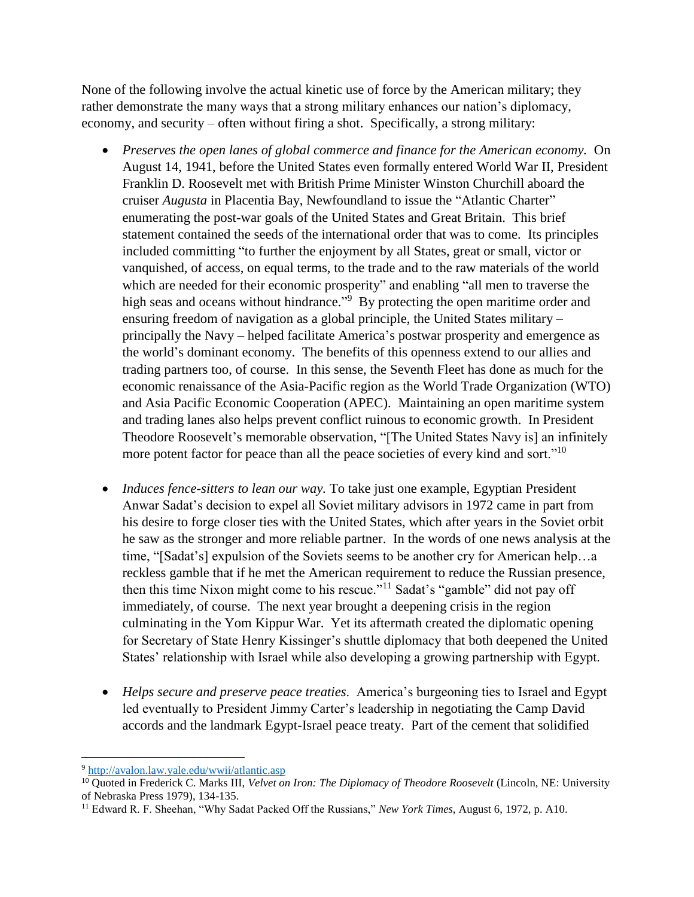None of the following involve the actual kinetic use of force by the American military; they rather demonstrate the many ways that a strong military enhances our nation's diplomacy, economy, and security – often without firing a shot. Specifically, a strong military:

- *Preserves the open lanes of global commerce and finance for the American economy.* On August 14, 1941, before the United States even formally entered World War II, President Franklin D. Roosevelt met with British Prime Minister Winston Churchill aboard the cruiser *Augusta* in Placentia Bay, Newfoundland to issue the "Atlantic Charter" enumerating the post-war goals of the United States and Great Britain. This brief statement contained the seeds of the international order that was to come. Its principles included committing "to further the enjoyment by all States, great or small, victor or vanquished, of access, on equal terms, to the trade and to the raw materials of the world which are needed for their economic prosperity" and enabling "all men to traverse the high seas and oceans without hindrance."<sup>9</sup> By protecting the open maritime order and ensuring freedom of navigation as a global principle, the United States military – principally the Navy – helped facilitate America's postwar prosperity and emergence as the world's dominant economy. The benefits of this openness extend to our allies and trading partners too, of course. In this sense, the Seventh Fleet has done as much for the economic renaissance of the Asia-Pacific region as the World Trade Organization (WTO) and Asia Pacific Economic Cooperation (APEC). Maintaining an open maritime system and trading lanes also helps prevent conflict ruinous to economic growth. In President Theodore Roosevelt's memorable observation, "[The United States Navy is] an infinitely more potent factor for peace than all the peace societies of every kind and sort."<sup>10</sup>
- *Induces fence-sitters to lean our way.* To take just one example, Egyptian President Anwar Sadat's decision to expel all Soviet military advisors in 1972 came in part from his desire to forge closer ties with the United States, which after years in the Soviet orbit he saw as the stronger and more reliable partner. In the words of one news analysis at the time, "[Sadat's] expulsion of the Soviets seems to be another cry for American help…a reckless gamble that if he met the American requirement to reduce the Russian presence, then this time Nixon might come to his rescue."<sup>11</sup> Sadat's "gamble" did not pay off immediately, of course. The next year brought a deepening crisis in the region culminating in the Yom Kippur War. Yet its aftermath created the diplomatic opening for Secretary of State Henry Kissinger's shuttle diplomacy that both deepened the United States' relationship with Israel while also developing a growing partnership with Egypt.
- *Helps secure and preserve peace treaties*. America's burgeoning ties to Israel and Egypt led eventually to President Jimmy Carter's leadership in negotiating the Camp David accords and the landmark Egypt-Israel peace treaty. Part of the cement that solidified

 $\overline{a}$ <sup>9</sup> <http://avalon.law.yale.edu/wwii/atlantic.asp>

<sup>10</sup> Quoted in Frederick C. Marks III, *Velvet on Iron: The Diplomacy of Theodore Roosevelt* (Lincoln, NE: University of Nebraska Press 1979), 134-135.

<sup>11</sup> Edward R. F. Sheehan, "Why Sadat Packed Off the Russians," *New York Times*, August 6, 1972, p. A10.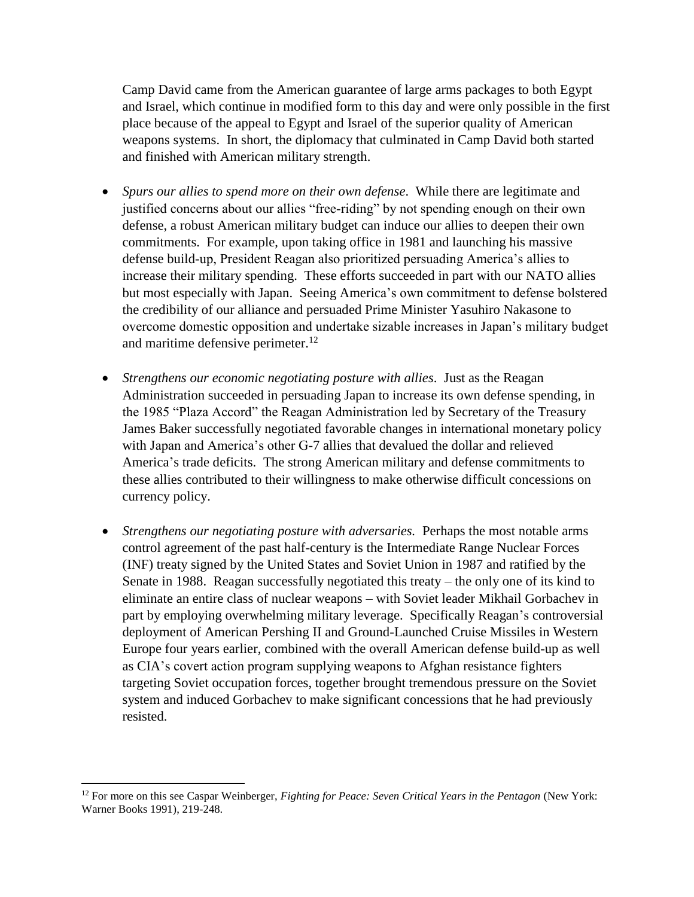Camp David came from the American guarantee of large arms packages to both Egypt and Israel, which continue in modified form to this day and were only possible in the first place because of the appeal to Egypt and Israel of the superior quality of American weapons systems. In short, the diplomacy that culminated in Camp David both started and finished with American military strength.

- *Spurs our allies to spend more on their own defense*. While there are legitimate and justified concerns about our allies "free-riding" by not spending enough on their own defense, a robust American military budget can induce our allies to deepen their own commitments. For example, upon taking office in 1981 and launching his massive defense build-up, President Reagan also prioritized persuading America's allies to increase their military spending. These efforts succeeded in part with our NATO allies but most especially with Japan. Seeing America's own commitment to defense bolstered the credibility of our alliance and persuaded Prime Minister Yasuhiro Nakasone to overcome domestic opposition and undertake sizable increases in Japan's military budget and maritime defensive perimeter.<sup>12</sup>
- *Strengthens our economic negotiating posture with allies*. Just as the Reagan Administration succeeded in persuading Japan to increase its own defense spending, in the 1985 "Plaza Accord" the Reagan Administration led by Secretary of the Treasury James Baker successfully negotiated favorable changes in international monetary policy with Japan and America's other G-7 allies that devalued the dollar and relieved America's trade deficits. The strong American military and defense commitments to these allies contributed to their willingness to make otherwise difficult concessions on currency policy.
- *Strengthens our negotiating posture with adversaries.* Perhaps the most notable arms control agreement of the past half-century is the Intermediate Range Nuclear Forces (INF) treaty signed by the United States and Soviet Union in 1987 and ratified by the Senate in 1988. Reagan successfully negotiated this treaty – the only one of its kind to eliminate an entire class of nuclear weapons – with Soviet leader Mikhail Gorbachev in part by employing overwhelming military leverage. Specifically Reagan's controversial deployment of American Pershing II and Ground-Launched Cruise Missiles in Western Europe four years earlier, combined with the overall American defense build-up as well as CIA's covert action program supplying weapons to Afghan resistance fighters targeting Soviet occupation forces, together brought tremendous pressure on the Soviet system and induced Gorbachev to make significant concessions that he had previously resisted.

 $\overline{a}$ 

<sup>&</sup>lt;sup>12</sup> For more on this see Caspar Weinberger, *Fighting for Peace: Seven Critical Years in the Pentagon* (New York: Warner Books 1991), 219-248.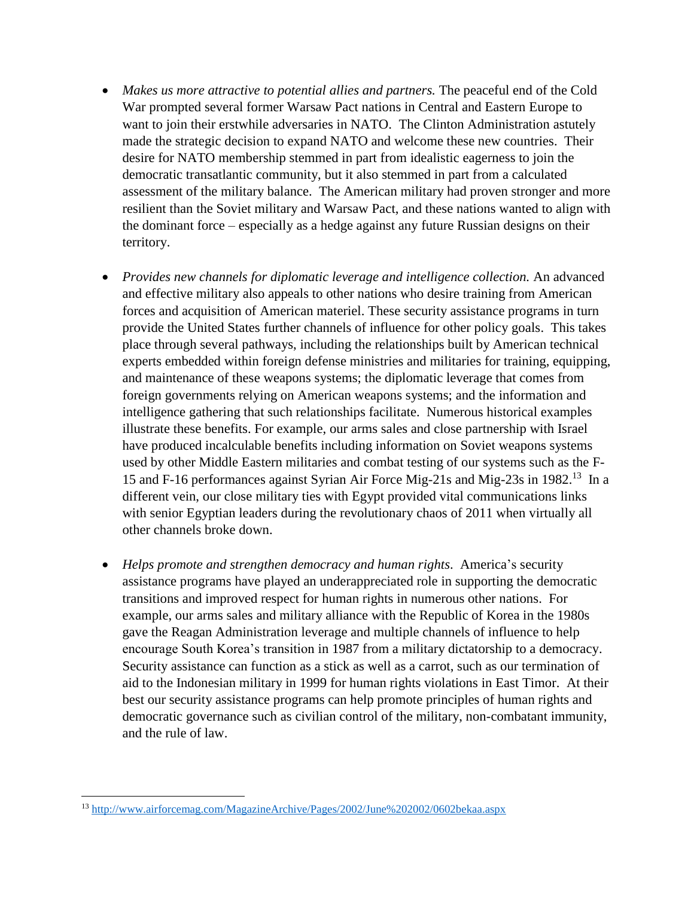- *Makes us more attractive to potential allies and partners.* The peaceful end of the Cold War prompted several former Warsaw Pact nations in Central and Eastern Europe to want to join their erstwhile adversaries in NATO. The Clinton Administration astutely made the strategic decision to expand NATO and welcome these new countries. Their desire for NATO membership stemmed in part from idealistic eagerness to join the democratic transatlantic community, but it also stemmed in part from a calculated assessment of the military balance. The American military had proven stronger and more resilient than the Soviet military and Warsaw Pact, and these nations wanted to align with the dominant force – especially as a hedge against any future Russian designs on their territory.
- *Provides new channels for diplomatic leverage and intelligence collection.* An advanced and effective military also appeals to other nations who desire training from American forces and acquisition of American materiel. These security assistance programs in turn provide the United States further channels of influence for other policy goals. This takes place through several pathways, including the relationships built by American technical experts embedded within foreign defense ministries and militaries for training, equipping, and maintenance of these weapons systems; the diplomatic leverage that comes from foreign governments relying on American weapons systems; and the information and intelligence gathering that such relationships facilitate. Numerous historical examples illustrate these benefits. For example, our arms sales and close partnership with Israel have produced incalculable benefits including information on Soviet weapons systems used by other Middle Eastern militaries and combat testing of our systems such as the F-15 and F-16 performances against Syrian Air Force Mig-21s and Mig-23s in 1982.<sup>13</sup> In a different vein, our close military ties with Egypt provided vital communications links with senior Egyptian leaders during the revolutionary chaos of 2011 when virtually all other channels broke down.
- *Helps promote and strengthen democracy and human rights*. America's security assistance programs have played an underappreciated role in supporting the democratic transitions and improved respect for human rights in numerous other nations. For example, our arms sales and military alliance with the Republic of Korea in the 1980s gave the Reagan Administration leverage and multiple channels of influence to help encourage South Korea's transition in 1987 from a military dictatorship to a democracy. Security assistance can function as a stick as well as a carrot, such as our termination of aid to the Indonesian military in 1999 for human rights violations in East Timor. At their best our security assistance programs can help promote principles of human rights and democratic governance such as civilian control of the military, non-combatant immunity, and the rule of law.

 $\overline{\phantom{a}}$ 

<sup>&</sup>lt;sup>13</sup> <http://www.airforcemag.com/MagazineArchive/Pages/2002/June%202002/0602bekaa.aspx>